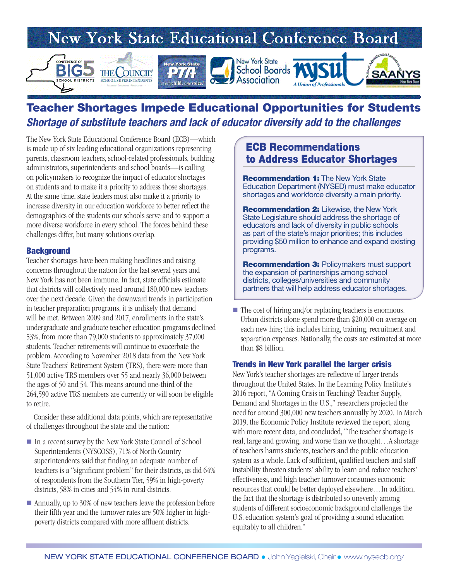# **New York State Educational Conference Board**



# Teacher Shortages Impede Educational Opportunities for Students *Shortage of substitute teachers and lack of educator diversity add to the challenges*

The New York State Educational Conference Board (ECB)—which is made up of six leading educational organizations representing parents, classroom teachers, school-related professionals, building administrators, superintendents and school boards—is calling on policymakers to recognize the impact of educator shortages on students and to make it a priority to address those shortages. At the same time, state leaders must also make it a priority to increase diversity in our education workforce to better reflect the demographics of the students our schools serve and to support a more diverse workforce in every school. The forces behind these challenges differ, but many solutions overlap.

#### **Background**

Teacher shortages have been making headlines and raising concerns throughout the nation for the last several years and New York has not been immune. In fact, state officials estimate that districts will collectively need around 180,000 new teachers over the next decade. Given the downward trends in participation in teacher preparation programs, it is unlikely that demand will be met. Between 2009 and 2017, enrollments in the state's undergraduate and graduate teacher education programs declined 53%, from more than 79,000 students to approximately 37,000 students. Teacher retirements will continue to exacerbate the problem. According to November 2018 data from the New York State Teachers' Retirement System (TRS), there were more than 51,000 active TRS members over 55 and nearly 36,000 between the ages of 50 and 54. This means around one-third of the 264,590 active TRS members are currently or will soon be eligible to retire.

 Consider these additional data points, which are representative of challenges throughout the state and the nation:

- In a recent survey by the New York State Council of School Superintendents (NYSCOSS), 71% of North Country superintendents said that finding an adequate number of teachers is a "significant problem" for their districts, as did 64% of respondents from the Southern Tier, 59% in high-poverty districts, 58% in cities and 54% in rural districts.
- Annually, up to 30% of new teachers leave the profession before their fifth year and the turnover rates are 50% higher in highpoverty districts compared with more affluent districts.

# ECB Recommendations to Address Educator Shortages

**Recommendation 1:** The New York State Education Department (NYSED) must make educator shortages and workforce diversity a main priority.

**Recommendation 2:** Likewise, the New York State Legislature should address the shortage of educators and lack of diversity in public schools as part of the state's major priorities; this includes providing \$50 million to enhance and expand existing programs.

Recommendation 3: Policymakers must support the expansion of partnerships among school districts, colleges/universities and community partners that will help address educator shortages.

 $\blacksquare$  The cost of hiring and/or replacing teachers is enormous. Urban districts alone spend more than \$20,000 on average on each new hire; this includes hiring, training, recruitment and separation expenses. Nationally, the costs are estimated at more than \$8 billion.

#### Trends in New York parallel the larger crisis

New York's teacher shortages are reflective of larger trends throughout the United States. In the Learning Policy Institute's 2016 report, "A Coming Crisis in Teaching? Teacher Supply, Demand and Shortages in the U.S.," researchers projected the need for around 300,000 new teachers annually by 2020. In March 2019, the Economic Policy Institute reviewed the report, along with more recent data, and concluded, "The teacher shortage is real, large and growing, and worse than we thought…A shortage of teachers harms students, teachers and the public education system as a whole. Lack of sufficient, qualified teachers and staff instability threaten students' ability to learn and reduce teachers' effectiveness, and high teacher turnover consumes economic resources that could be better deployed elsewhere…In addition, the fact that the shortage is distributed so unevenly among students of different socioeconomic background challenges the U.S. education system's goal of providing a sound education equitably to all children."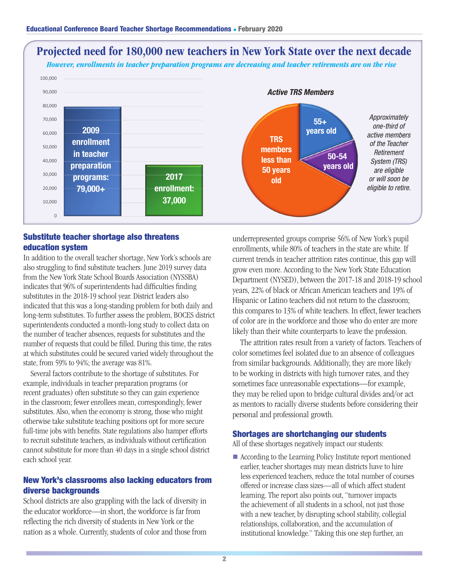

### Substitute teacher shortage also threatens education system

In addition to the overall teacher shortage, New York's schools are also struggling to find substitute teachers. June 2019 survey data from the New York State School Boards Association (NYSSBA) indicates that 96% of superintendents had difficulties finding substitutes in the 2018-19 school year. District leaders also indicated that this was a long-standing problem for both daily and long-term substitutes. To further assess the problem, BOCES district superintendents conducted a month-long study to collect data on the number of teacher absences, requests for substitutes and the number of requests that could be filled. During this time, the rates at which substitutes could be secured varied widely throughout the state, from 59% to 94%; the average was 81%.

 Several factors contribute to the shortage of substitutes. For example, individuals in teacher preparation programs (or recent graduates) often substitute so they can gain experience in the classroom; fewer enrollees mean, correspondingly, fewer substitutes. Also, when the economy is strong, those who might otherwise take substitute teaching positions opt for more secure full-time jobs with benefits. State regulations also hamper efforts to recruit substitute teachers, as individuals without certification cannot substitute for more than 40 days in a single school district each school year.

# New York's classrooms also lacking educators from diverse backgrounds

School districts are also grappling with the lack of diversity in the educator workforce—in short, the workforce is far from reflecting the rich diversity of students in New York or the nation as a whole. Currently, students of color and those from underrepresented groups comprise 56% of New York's pupil enrollments, while 80% of teachers in the state are white. If current trends in teacher attrition rates continue, this gap will grow even more. According to the New York State Education Department (NYSED), between the 2017-18 and 2018-19 school years, 22% of black or African American teachers and 19% of Hispanic or Latino teachers did not return to the classroom; this compares to 13% of white teachers. In effect, fewer teachers of color are in the workforce and those who do enter are more likely than their white counterparts to leave the profession.

 The attrition rates result from a variety of factors. Teachers of color sometimes feel isolated due to an absence of colleagues from similar backgrounds. Additionally, they are more likely to be working in districts with high turnover rates, and they sometimes face unreasonable expectations—for example, they may be relied upon to bridge cultural divides and/or act as mentors to racially diverse students before considering their personal and professional growth.

#### Shortages are shortchanging our students

All of these shortages negatively impact our students:

■ According to the Learning Policy Institute report mentioned earlier, teacher shortages may mean districts have to hire less experienced teachers, reduce the total number of courses offered or increase class sizes—all of which affect student learning. The report also points out, "turnover impacts the achievement of all students in a school, not just those with a new teacher, by disrupting school stability, collegial relationships, collaboration, and the accumulation of institutional knowledge." Taking this one step further, an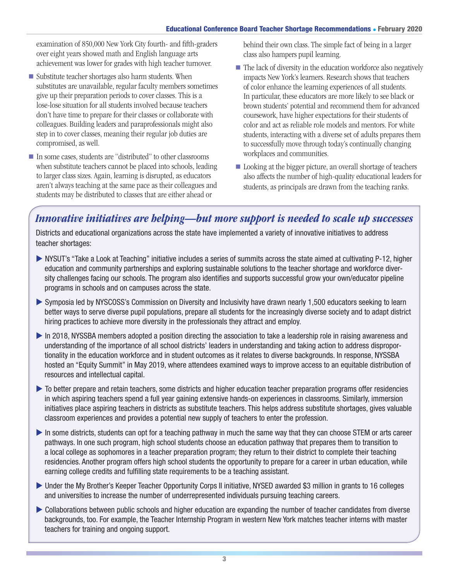#### Educational Conference Board Teacher Shortage Recommendations • February 2020

examination of 850,000 New York City fourth- and fifth-graders over eight years showed math and English language arts achievement was lower for grades with high teacher turnover.

- $\blacksquare$  Substitute teacher shortages also harm students. When substitutes are unavailable, regular faculty members sometimes give up their preparation periods to cover classes. This is a lose-lose situation for all students involved because teachers don't have time to prepare for their classes or collaborate with colleagues. Building leaders and paraprofessionals might also step in to cover classes, meaning their regular job duties are compromised, as well.
- In some cases, students are "distributed" to other classrooms when substitute teachers cannot be placed into schools, leading to larger class sizes. Again, learning is disrupted, as educators aren't always teaching at the same pace as their colleagues and students may be distributed to classes that are either ahead or

behind their own class. The simple fact of being in a larger class also hampers pupil learning.

- $\blacksquare$  The lack of diversity in the education workforce also negatively impacts New York's learners. Research shows that teachers of color enhance the learning experiences of all students. In particular, these educators are more likely to see black or brown students' potential and recommend them for advanced coursework, have higher expectations for their students of color and act as reliable role models and mentors. For white students, interacting with a diverse set of adults prepares them to successfully move through today's continually changing workplaces and communities.
- Looking at the bigger picture, an overall shortage of teachers also affects the number of high-quality educational leaders for students, as principals are drawn from the teaching ranks.

# *Innovative initiatives are helping—but more support is needed to scale up successes*

Districts and educational organizations across the state have implemented a variety of innovative initiatives to address teacher shortages:

- ▶ NYSUT's "Take a Look at Teaching" initiative includes a series of summits across the state aimed at cultivating P-12, higher education and community partnerships and exploring sustainable solutions to the teacher shortage and workforce diversity challenges facing our schools. The program also identifies and supports successful grow your own/educator pipeline programs in schools and on campuses across the state.
- u Symposia led by NYSCOSS's Commission on Diversity and Inclusivity have drawn nearly 1,500 educators seeking to learn better ways to serve diverse pupil populations, prepare all students for the increasingly diverse society and to adapt district hiring practices to achieve more diversity in the professionals they attract and employ.
- In 2018, NYSSBA members adopted a position directing the association to take a leadership role in raising awareness and understanding of the importance of all school districts' leaders in understanding and taking action to address disproportionality in the education workforce and in student outcomes as it relates to diverse backgrounds. In response, NYSSBA hosted an "Equity Summit" in May 2019, where attendees examined ways to improve access to an equitable distribution of resources and intellectual capital.
- $\triangleright$  To better prepare and retain teachers, some districts and higher education teacher preparation programs offer residencies in which aspiring teachers spend a full year gaining extensive hands-on experiences in classrooms. Similarly, immersion initiatives place aspiring teachers in districts as substitute teachers. This helps address substitute shortages, gives valuable classroom experiences and provides a potential new supply of teachers to enter the profession.
- $\blacktriangleright$  In some districts, students can opt for a teaching pathway in much the same way that they can choose STEM or arts career pathways. In one such program, high school students choose an education pathway that prepares them to transition to a local college as sophomores in a teacher preparation program; they return to their district to complete their teaching residencies. Another program offers high school students the opportunity to prepare for a career in urban education, while earning college credits and fulfilling state requirements to be a teaching assistant.
- ▶ Under the My Brother's Keeper Teacher Opportunity Corps II initiative, NYSED awarded \$3 million in grants to 16 colleges and universities to increase the number of underrepresented individuals pursuing teaching careers.
- u Collaborations between public schools and higher education are expanding the number of teacher candidates from diverse backgrounds, too. For example, the Teacher Internship Program in western New York matches teacher interns with master teachers for training and ongoing support.